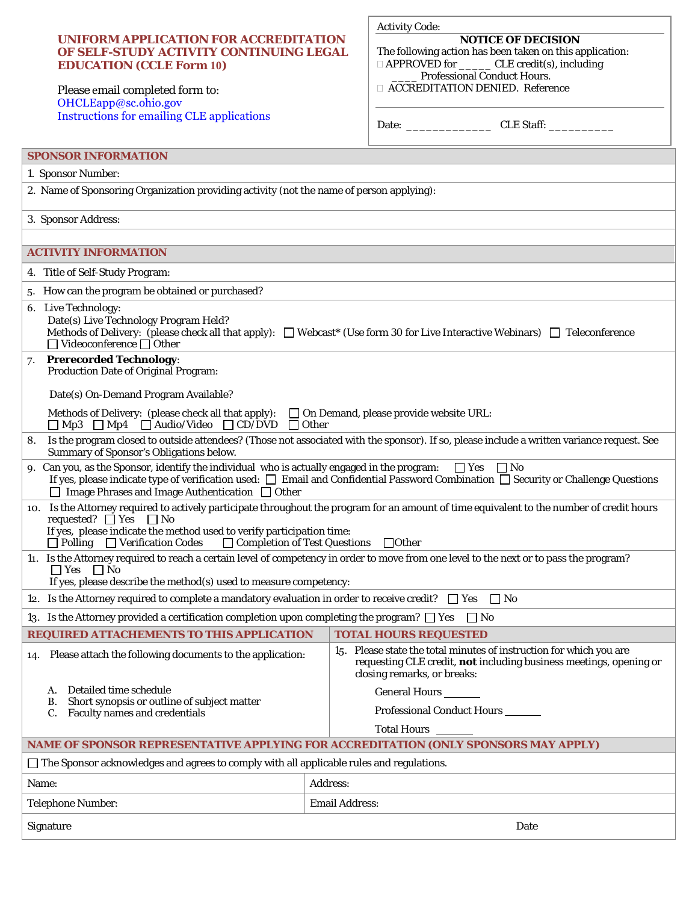Please email completed form to: [OHCLEapp@sc.ohio.gov](mailto:OHCLEapp@sc.ohio.gov) [Instructions for emailing CLE applications](https://www.supremecourt.ohio.gov/AttySvcs/CLE/COVID19/CLEAppSponsorInstruct.pdf)

**EDUCATION (CCLE Form 10)** 

**UNIFORM APPLICATION FOR ACCREDITATION OF SELF-STUDY ACTIVITY CONTINUING LEGAL** 

## Activity Code:

**NOTICE OF DECISION** The following action has been taken on this application: □ APPROVED for \_\_\_\_\_\_\_ CLE credit(s), including \_\_\_\_ Professional Conduct Hours.

ACCREDITATION DENIED. Reference

| Date: |  |
|-------|--|
|-------|--|

Date: \_\_\_\_\_\_\_\_\_\_\_\_\_ CLE Staff: \_\_\_\_\_\_\_\_\_\_

| <b>SPONSOR INFORMATION</b>                                                                                                                                                                                                                                                                                                                           |                                                                                                                                                                                 |  |
|------------------------------------------------------------------------------------------------------------------------------------------------------------------------------------------------------------------------------------------------------------------------------------------------------------------------------------------------------|---------------------------------------------------------------------------------------------------------------------------------------------------------------------------------|--|
| 1. Sponsor Number:                                                                                                                                                                                                                                                                                                                                   |                                                                                                                                                                                 |  |
| 2. Name of Sponsoring Organization providing activity (not the name of person applying):                                                                                                                                                                                                                                                             |                                                                                                                                                                                 |  |
| 3. Sponsor Address:                                                                                                                                                                                                                                                                                                                                  |                                                                                                                                                                                 |  |
|                                                                                                                                                                                                                                                                                                                                                      |                                                                                                                                                                                 |  |
| <b>ACTIVITY INFORMATION</b>                                                                                                                                                                                                                                                                                                                          |                                                                                                                                                                                 |  |
| 4. Title of Self-Study Program:                                                                                                                                                                                                                                                                                                                      |                                                                                                                                                                                 |  |
| 5. How can the program be obtained or purchased?                                                                                                                                                                                                                                                                                                     |                                                                                                                                                                                 |  |
| 6. Live Technology:<br>Date(s) Live Technology Program Held?<br>Methods of Delivery: (please check all that apply): $\Box$ Webcast* (Use form 30 for Live Interactive Webinars) $\Box$ Teleconference<br>$\Box$ Videoconference $\Box$ Other                                                                                                         |                                                                                                                                                                                 |  |
| <b>Prerecorded Technology:</b><br>7.<br><b>Production Date of Original Program:</b>                                                                                                                                                                                                                                                                  |                                                                                                                                                                                 |  |
| Date(s) On-Demand Program Available?                                                                                                                                                                                                                                                                                                                 |                                                                                                                                                                                 |  |
| Methods of Delivery: (please check all that apply):<br>$\Box$ On Demand, please provide website URL:<br>$\Box$ Mp3 $\Box$ Mp4 $\Box$ Audio/Video $\Box$ CD/DVD<br>$\Box$ Other                                                                                                                                                                       |                                                                                                                                                                                 |  |
| Is the program closed to outside attendees? (Those not associated with the sponsor). If so, please include a written variance request. See<br>8.<br>Summary of Sponsor's Obligations below.                                                                                                                                                          |                                                                                                                                                                                 |  |
| 9. Can you, as the Sponsor, identify the individual who is actually engaged in the program:<br>$\Box$ Yes $\Box$ No<br>If yes, please indicate type of verification used: $\square$ Email and Confidential Password Combination $\square$ Security or Challenge Questions<br>$\Box$ Image Phrases and Image Authentication $\Box$ Other              |                                                                                                                                                                                 |  |
| 10. Is the Attorney required to actively participate throughout the program for an amount of time equivalent to the number of credit hours<br>requested? $\Box$ Yes $\Box$ No<br>If yes, please indicate the method used to verify participation time:<br>□ Completion of Test Questions<br>$\Box$ Polling $\Box$ Verification Codes<br>$\Box$ Other |                                                                                                                                                                                 |  |
| 11. Is the Attorney required to reach a certain level of competency in order to move from one level to the next or to pass the program?<br>$\Box$ Yes $\Box$ No<br>If yes, please describe the method(s) used to measure competency:                                                                                                                 |                                                                                                                                                                                 |  |
| 12. Is the Attorney required to complete a mandatory evaluation in order to receive credit? $\square$ Yes<br>$\Box$ No                                                                                                                                                                                                                               |                                                                                                                                                                                 |  |
| 13. Is the Attorney provided a certification completion upon completing the program? $\Box$ Yes<br>$\vert$   No                                                                                                                                                                                                                                      |                                                                                                                                                                                 |  |
| REQUIRED ATTACHEMENTS TO THIS APPLICATION                                                                                                                                                                                                                                                                                                            | <b>TOTAL HOURS REQUESTED</b>                                                                                                                                                    |  |
| 14. Please attach the following documents to the application:                                                                                                                                                                                                                                                                                        | 15. Please state the total minutes of instruction for which you are<br>requesting CLE credit, <b>not</b> including business meetings, opening or<br>closing remarks, or breaks: |  |
| Detailed time schedule<br>А.                                                                                                                                                                                                                                                                                                                         | General Hours                                                                                                                                                                   |  |
| Short synopsis or outline of subject matter<br>В.<br>C. Faculty names and credentials                                                                                                                                                                                                                                                                | Professional Conduct Hours                                                                                                                                                      |  |
|                                                                                                                                                                                                                                                                                                                                                      | <b>Total Hours</b>                                                                                                                                                              |  |
| NAME OF SPONSOR REPRESENTATIVE APPLYING FOR ACCREDITATION (ONLY SPONSORS MAY APPLY)                                                                                                                                                                                                                                                                  |                                                                                                                                                                                 |  |
| $\Box$ The Sponsor acknowledges and agrees to comply with all applicable rules and regulations.                                                                                                                                                                                                                                                      |                                                                                                                                                                                 |  |
| Name:                                                                                                                                                                                                                                                                                                                                                | Address:                                                                                                                                                                        |  |
| <b>Telephone Number:</b>                                                                                                                                                                                                                                                                                                                             | <b>Email Address:</b>                                                                                                                                                           |  |
| Signature<br>Date                                                                                                                                                                                                                                                                                                                                    |                                                                                                                                                                                 |  |